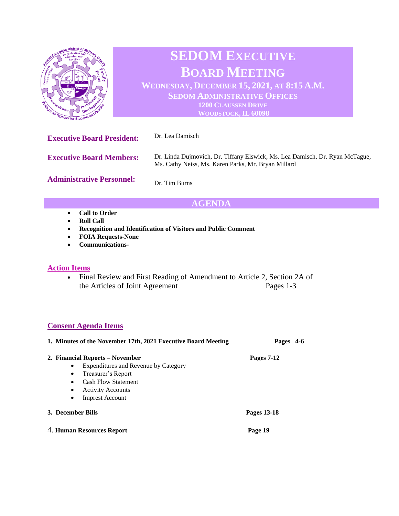

# **SEDOM EXECUTIVE BOARD MEETING WEDNESDAY, DECEMBER 15, 2021, AT 8:15 A.M.**

**SEDOM ADMINISTRATIVE OFFICES 1200 CLAUSSEN DRIVE WOODSTOCK, IL 60098**

**Executive Board President:** Dr. Lea Damisch **Executive Board Members: Administrative Personnel:** Dr. Linda Dujmovich, Dr. Tiffany Elswick, Ms. Lea Damisch, Dr. Ryan McTague, Ms. Cathy Neiss, Ms. Karen Parks, Mr. Bryan Millard Dr. Tim Burns

## **AGENDA**

- **Call to Order**
- **Roll Call**
- **Recognition and Identification of Visitors and Public Comment**
- **FOIA Requests-None**
- **Communications-**

### **Action Items**

• Final Review and First Reading of Amendment to Article 2, Section 2A of the Articles of Joint Agreement Pages 1-3

### **Consent Agenda Items**

| 1. Minutes of the November 17th, 2021 Executive Board Meeting                                                                                                                                                                                      | 4-6<br>Pages |
|----------------------------------------------------------------------------------------------------------------------------------------------------------------------------------------------------------------------------------------------------|--------------|
| 2. Financial Reports – November<br>Expenditures and Revenue by Category<br>$\bullet$<br>Treasurer's Report<br>$\bullet$<br><b>Cash Flow Statement</b><br>$\bullet$<br><b>Activity Accounts</b><br>$\bullet$<br><b>Imprest Account</b><br>$\bullet$ | Pages 7-12   |
| 3. December Bills                                                                                                                                                                                                                                  | Pages 13-18  |
| 4. Human Resources Report                                                                                                                                                                                                                          | Page 19      |